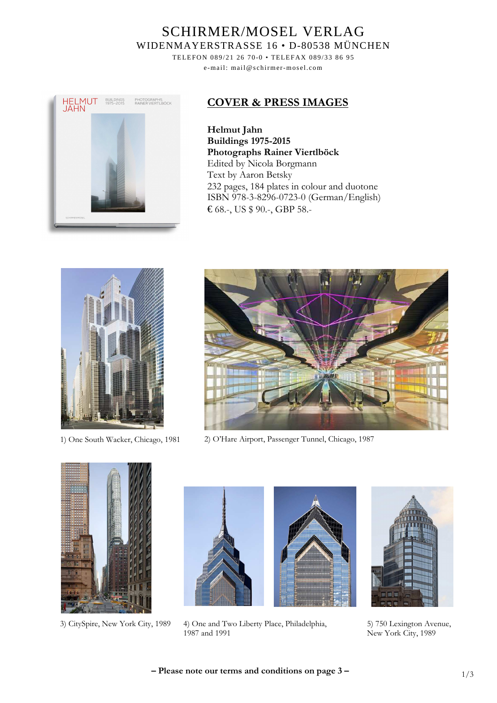# SCHIRMER/MOSEL VERLAG WIDENMAYERSTRASSE 16 • D-80538 MÜNCHEN

TELEFON 089/21 26 70-0 • TELEFAX 089/33 86 95 e-mail: mail@schirmer-mosel.com



#### **COVER & PRESS IMAGES**

**Helmut Jahn Buildings 1975-2015 Photographs Rainer Viertlböck**  Edited by Nicola Borgmann Text by Aaron Betsky 232 pages, 184 plates in colour and duotone ISBN 978-3-8296-0723-0 (German/English) € 68.-, US \$ 90.-, GBP 58.-





1) One South Wacker, Chicago, 1981 2) O'Hare Airport, Passenger Tunnel, Chicago, 1987





3) CitySpire, New York City, 1989 4) One and Two Liberty Place, Philadelphia, 1987 and 1991



5) 750 Lexington Avenue, New York City, 1989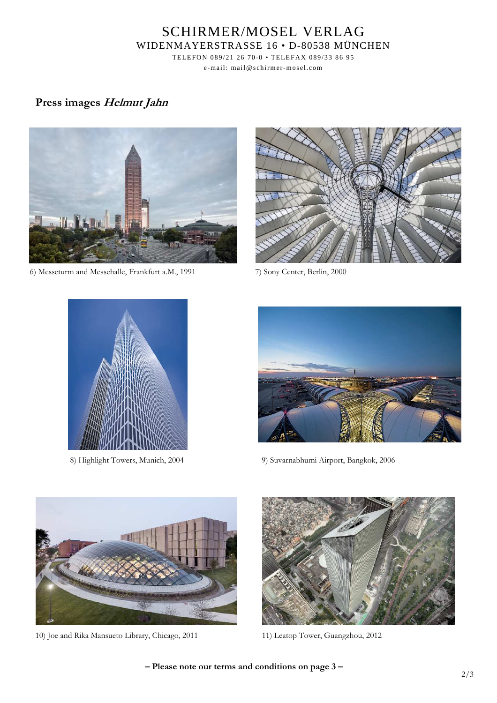# SCHIRMER/MOSEL VERLAG WIDENMAYERSTRASSE 16 • D-80538 MÜNCHEN

TELEFON 089/21 26 70-0 • TELEFAX 089/33 86 95 e-mail: mail@schirmer-mosel.com

### **Press images Helmut Jahn**



6) Messeturm and Messehalle, Frankfurt a.M., 1991 7) Sony Center, Berlin, 2000







8) Highlight Towers, Munich, 2004 9) Suvarnabhumi Airport, Bangkok, 2006



10) Joe and Rika Mansueto Library, Chicago, 2011 11) Leatop Tower, Guangzhou, 2012



**– Please note our terms and conditions on page 3 –**